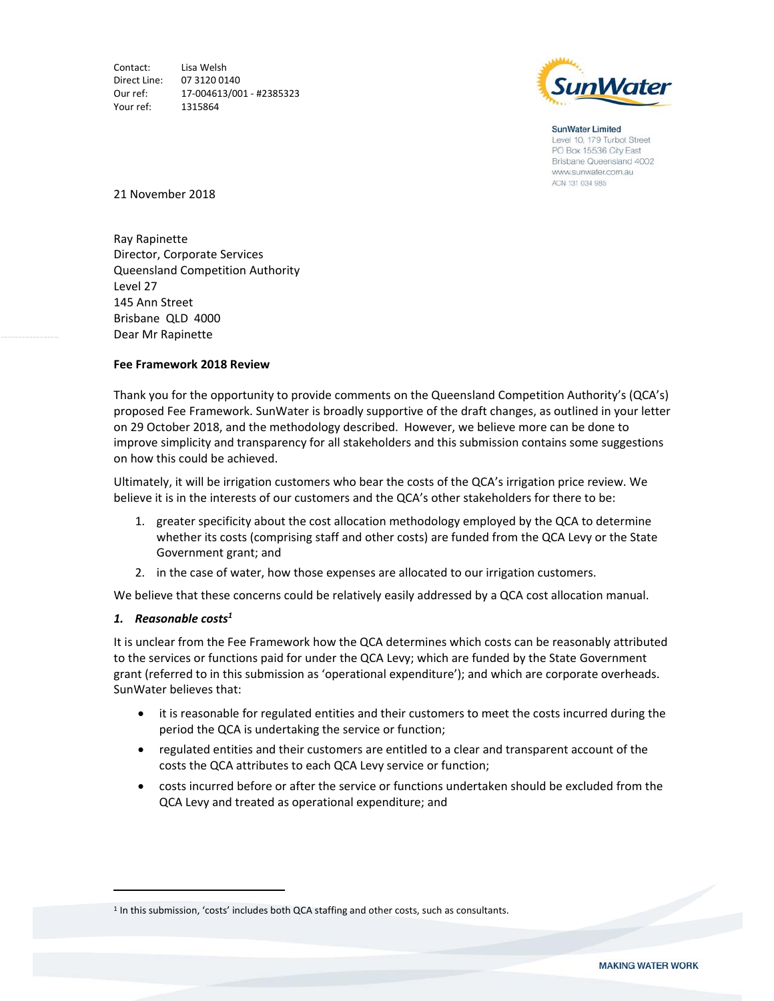Contact: Lisa Welsh Direct Line: 07 3120 0140 Our ref: 17‐004613/001 ‐ #2385323 Your ref: 1315864



**SunWater Limited** Level 10, 179 Turbot Street PO Box 15536 City East Brisbane Queensland 4002 www.sunwater.com.au ACN 131 034 985

21 November 2018

Ray Rapinette Director, Corporate Services Queensland Competition Authority Level 27 145 Ann Street Brisbane QLD 4000 Dear Mr Rapinette

## **Fee Framework 2018 Review**

Thank you for the opportunity to provide comments on the Queensland Competition Authority's (QCA's) proposed Fee Framework. SunWater is broadly supportive of the draft changes, as outlined in your letter on 29 October 2018, and the methodology described. However, we believe more can be done to improve simplicity and transparency for all stakeholders and this submission contains some suggestions on how this could be achieved.

Ultimately, it will be irrigation customers who bear the costs of the QCA's irrigation price review. We believe it is in the interests of our customers and the QCA's other stakeholders for there to be:

- 1. greater specificity about the cost allocation methodology employed by the QCA to determine whether its costs (comprising staff and other costs) are funded from the QCA Levy or the State Government grant; and
- 2. in the case of water, how those expenses are allocated to our irrigation customers.

We believe that these concerns could be relatively easily addressed by a QCA cost allocation manual.

## *1. Reasonable costs1*

It is unclear from the Fee Framework how the QCA determines which costs can be reasonably attributed to the services or functions paid for under the QCA Levy; which are funded by the State Government grant (referred to in this submission as 'operational expenditure'); and which are corporate overheads. SunWater believes that:

- it is reasonable for regulated entities and their customers to meet the costs incurred during the period the QCA is undertaking the service or function;
- regulated entities and their customers are entitled to a clear and transparent account of the costs the QCA attributes to each QCA Levy service or function;
- costs incurred before or after the service or functions undertaken should be excluded from the QCA Levy and treated as operational expenditure; and

<sup>&</sup>lt;sup>1</sup> In this submission, 'costs' includes both QCA staffing and other costs, such as consultants.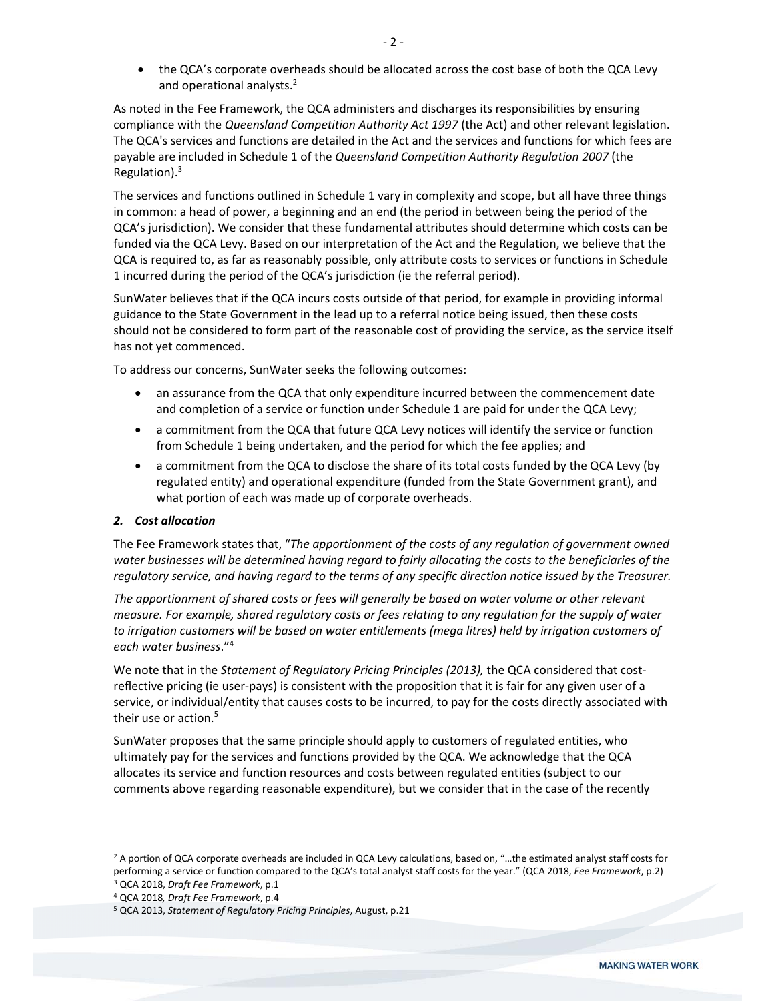• the QCA's corporate overheads should be allocated across the cost base of both the QCA Levy and operational analysts.<sup>2</sup>

As noted in the Fee Framework, the QCA administers and discharges its responsibilities by ensuring compliance with the *Queensland Competition Authority Act 1997* (the Act) and other relevant legislation. The QCA's services and functions are detailed in the Act and the services and functions for which fees are payable are included in Schedule 1 of the *Queensland Competition Authority Regulation 2007* (the Regulation).3

The services and functions outlined in Schedule 1 vary in complexity and scope, but all have three things in common: a head of power, a beginning and an end (the period in between being the period of the QCA's jurisdiction). We consider that these fundamental attributes should determine which costs can be funded via the QCA Levy. Based on our interpretation of the Act and the Regulation, we believe that the QCA is required to, as far as reasonably possible, only attribute costs to services or functions in Schedule 1 incurred during the period of the QCA's jurisdiction (ie the referral period).

SunWater believes that if the QCA incurs costs outside of that period, for example in providing informal guidance to the State Government in the lead up to a referral notice being issued, then these costs should not be considered to form part of the reasonable cost of providing the service, as the service itself has not yet commenced.

To address our concerns, SunWater seeks the following outcomes:

- an assurance from the QCA that only expenditure incurred between the commencement date and completion of a service or function under Schedule 1 are paid for under the QCA Levy;
- a commitment from the QCA that future QCA Levy notices will identify the service or function from Schedule 1 being undertaken, and the period for which the fee applies; and
- a commitment from the QCA to disclose the share of its total costs funded by the QCA Levy (by regulated entity) and operational expenditure (funded from the State Government grant), and what portion of each was made up of corporate overheads.

## *2. Cost allocation*

The Fee Framework states that, "*The apportionment of the costs of any regulation of government owned water businesses will be determined having regard to fairly allocating the costs to the beneficiaries of the regulatory service, and having regard to the terms of any specific direction notice issued by the Treasurer.* 

*The apportionment of shared costs or fees will generally be based on water volume or other relevant measure. For example, shared regulatory costs or fees relating to any regulation for the supply of water to irrigation customers will be based on water entitlements (mega litres) held by irrigation customers of each water business*."4

We note that in the *Statement of Regulatory Pricing Principles (2013)*, the QCA considered that costreflective pricing (ie user‐pays) is consistent with the proposition that it is fair for any given user of a service, or individual/entity that causes costs to be incurred, to pay for the costs directly associated with their use or action.<sup>5</sup>

SunWater proposes that the same principle should apply to customers of regulated entities, who ultimately pay for the services and functions provided by the QCA. We acknowledge that the QCA allocates its service and function resources and costs between regulated entities (subject to our comments above regarding reasonable expenditure), but we consider that in the case of the recently

<sup>2</sup> A portion of QCA corporate overheads are included in QCA Levy calculations, based on, "…the estimated analyst staff costs for performing a service or function compared to the QCA's total analyst staff costs for the year." (QCA 2018, *Fee Framework*, p.2)

<sup>3</sup> QCA 2018, *Draft Fee Framework*, p.1 4 QCA 2018*, Draft Fee Framework*, p.4

<sup>5</sup> QCA 2013, *Statement of Regulatory Pricing Principles*, August, p.21